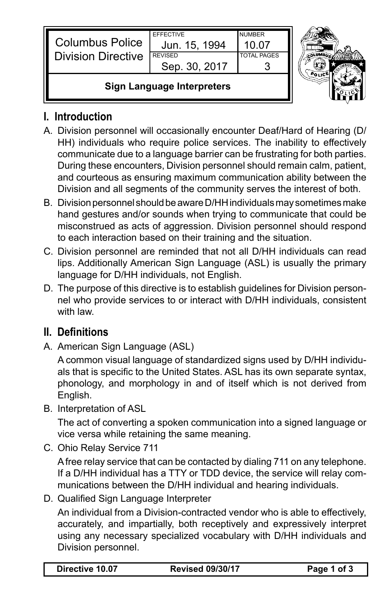| <b>Columbus Police</b><br><b>Division Directive</b> | <b>FFFFCTIVE</b><br>Jun. 15, 1994<br><b>REVISED</b><br>Sep. 30, 2017 | <b>NUMBER</b><br>1በ በ7<br><b>TOTAL PAGES</b> |  |
|-----------------------------------------------------|----------------------------------------------------------------------|----------------------------------------------|--|
| <b>Sign Language Interpreters</b>                   |                                                                      |                                              |  |



### **I. Introduction**

- A. Division personnel will occasionally encounter Deaf/Hard of Hearing (D/ HH) individuals who require police services. The inability to effectively communicate due to a language barrier can be frustrating for both parties. During these encounters, Division personnel should remain calm, patient, and courteous as ensuring maximum communication ability between the Division and all segments of the community serves the interest of both.
- B. Division personnel should be aware D/HH individuals may sometimes make hand gestures and/or sounds when trying to communicate that could be misconstrued as acts of aggression. Division personnel should respond to each interaction based on their training and the situation.
- C. Division personnel are reminded that not all D/HH individuals can read lips. Additionally American Sign Language (ASL) is usually the primary language for D/HH individuals, not English.
- D. The purpose of this directive is to establish guidelines for Division personnel who provide services to or interact with D/HH individuals, consistent with law.

# **II. Definitions**

A. American Sign Language (ASL)

A common visual language of standardized signs used by D/HH individuals that is specific to the United States. ASL has its own separate syntax, phonology, and morphology in and of itself which is not derived from English.

B. Interpretation of ASL

The act of converting a spoken communication into a signed language or vice versa while retaining the same meaning.

C. Ohio Relay Service 711

A free relay service that can be contacted by dialing 711 on any telephone. If a D/HH individual has a TTY or TDD device, the service will relay communications between the D/HH individual and hearing individuals.

D. Qualified Sign Language Interpreter

An individual from a Division-contracted vendor who is able to effectively, accurately, and impartially, both receptively and expressively interpret using any necessary specialized vocabulary with D/HH individuals and Division personnel.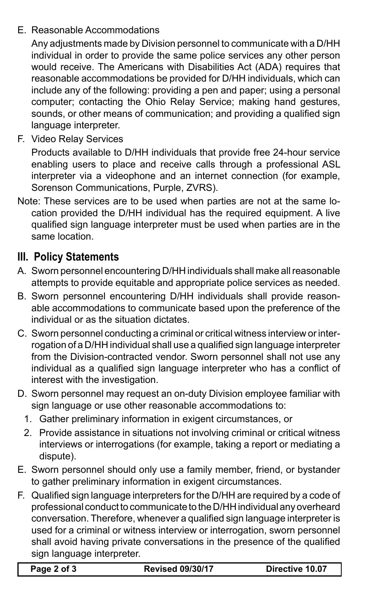#### E. Reasonable Accommodations

Any adjustments made by Division personnel to communicate with a D/HH individual in order to provide the same police services any other person would receive. The Americans with Disabilities Act (ADA) requires that reasonable accommodations be provided for D/HH individuals, which can include any of the following: providing a pen and paper; using a personal computer; contacting the Ohio Relay Service; making hand gestures, sounds, or other means of communication; and providing a qualified sign language interpreter.

F. Video Relay Services

Products available to D/HH individuals that provide free 24-hour service enabling users to place and receive calls through a professional ASL interpreter via a videophone and an internet connection (for example, Sorenson Communications, Purple, ZVRS).

Note: These services are to be used when parties are not at the same location provided the D/HH individual has the required equipment. A live qualified sign language interpreter must be used when parties are in the same location.

# **III. Policy Statements**

- A. Sworn personnel encountering D/HH individuals shall make all reasonable attempts to provide equitable and appropriate police services as needed.
- B. Sworn personnel encountering D/HH individuals shall provide reasonable accommodations to communicate based upon the preference of the individual or as the situation dictates.
- C. Sworn personnel conducting a criminal or critical witness interview or interrogation of a D/HH individual shall use a qualified sign language interpreter from the Division-contracted vendor. Sworn personnel shall not use any individual as a qualified sign language interpreter who has a conflict of interest with the investigation.
- D. Sworn personnel may request an on-duty Division employee familiar with sign language or use other reasonable accommodations to:
	- 1. Gather preliminary information in exigent circumstances, or
	- 2. Provide assistance in situations not involving criminal or critical witness interviews or interrogations (for example, taking a report or mediating a dispute).
- E. Sworn personnel should only use a family member, friend, or bystander to gather preliminary information in exigent circumstances.
- F. Qualified sign language interpreters for the D/HH are required by a code of professional conduct to communicate to the D/HH individual any overheard conversation. Therefore, whenever a qualified sign language interpreter is used for a criminal or witness interview or interrogation, sworn personnel shall avoid having private conversations in the presence of the qualified sign language interpreter.